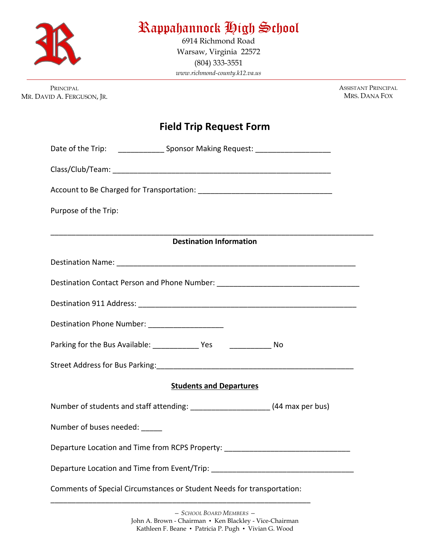

## Rappahannock High School

6914 Richmond Road Warsaw, Virginia 22572 (804) 333-3551 *www.richmond-county.k12.va.us*

PRINCIPAL MR. DAVID A. FERGUSON, JR. ASSISTANT PRINCIPAL MRS. DANA FOX

## **Field Trip Request Form**

| Date of the Trip: _______________________Sponsor Making Request: ________________ |                                |  |  |
|-----------------------------------------------------------------------------------|--------------------------------|--|--|
|                                                                                   |                                |  |  |
|                                                                                   |                                |  |  |
| Purpose of the Trip:                                                              |                                |  |  |
| <b>Destination Information</b>                                                    |                                |  |  |
|                                                                                   |                                |  |  |
| Destination Contact Person and Phone Number: ___________________________________  |                                |  |  |
|                                                                                   |                                |  |  |
|                                                                                   |                                |  |  |
| Destination Phone Number: ____________________                                    |                                |  |  |
|                                                                                   |                                |  |  |
|                                                                                   |                                |  |  |
|                                                                                   | <b>Students and Departures</b> |  |  |
| Number of students and staff attending: _______________________(44 max per bus)   |                                |  |  |
| Number of buses needed: _____                                                     |                                |  |  |
| Departure Location and Time from RCPS Property: ________________________________  |                                |  |  |
| Departure Location and Time from Event/Trip: ___________________________________  |                                |  |  |
| Comments of Special Circumstances or Student Needs for transportation:            |                                |  |  |
|                                                                                   |                                |  |  |